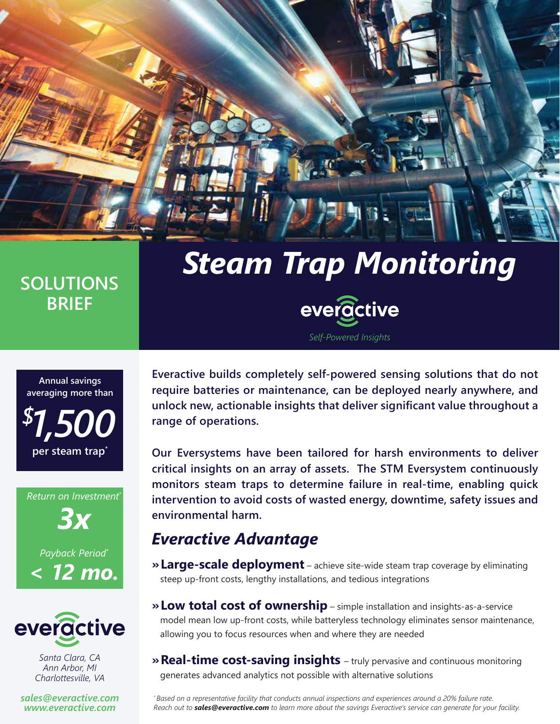# *Steam Trap Monitoring*

*Self-Powered Insights*

everactive

## **SOLUTIONS BRIEF**



*Return on Investment\* 3x Payback Period\* < 12 mo.*



*Santa Clara, CA Ann Arbor, MI Charlottesville, VA*

*sales@everactive.com www.everactive.com*

**Everactive builds completely self-powered sensing solutions that do not require batteries or maintenance, can be deployed nearly anywhere, and unlock new, actionable insights that deliver significant value throughout a range of operations.** 

**Our Eversystems have been tailored for harsh environments to deliver critical insights on an array of assets. The STM Eversystem continuously monitors steam traps to determine failure in real-time, enabling quick intervention to avoid costs of wasted energy, downtime, safety issues and environmental harm.**

## *Everactive Advantage*

- **» Large-scale deployment** achieve site-wide steam trap coverage by eliminating steep up-front costs, lengthy installations, and tedious integrations
- **» Low total cost of ownership** simple installation and insights-as-a-service model mean low up-front costs, while batteryless technology eliminates sensor maintenance, allowing you to focus resources when and where they are needed
- **» Real-time cost-saving insights** truly pervasive and continuous monitoring generates advanced analytics not possible with alternative solutions

*\* Based on a representative facility that conducts annual inspections and experiences around a 20% failure rate. Reach out to sales@everactive.com to learn more about the savings Everactive's service can generate for your facility.*